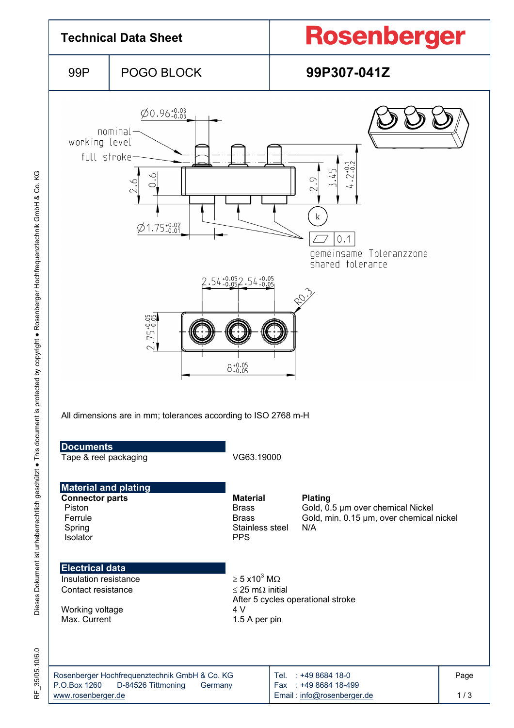

KG Dieses Dokument ist urheberrechtlich geschützt ● This document is protected by copyright ● Rosenberger Hochfrequenztechnik GmbH & Co. KG Dieses Dokument ist urheberrechtlich geschützt · This document is protected by copyright · Rosenberger Hochfrequenztechnik GmbH & Co.

RF\_35/05.10/6.0 35/05.10/6.0 눈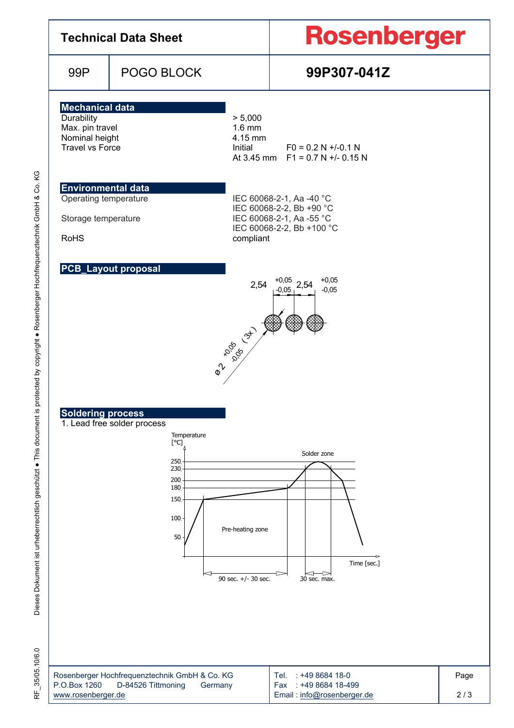| <b>Technical Data Sheet</b>                                                                                                                                                                                                                                                                                                                                                                  |                                                                                |                                                                                                                            | <b>Rosenberger</b>                                                              |             |  |  |  |  |
|----------------------------------------------------------------------------------------------------------------------------------------------------------------------------------------------------------------------------------------------------------------------------------------------------------------------------------------------------------------------------------------------|--------------------------------------------------------------------------------|----------------------------------------------------------------------------------------------------------------------------|---------------------------------------------------------------------------------|-------------|--|--|--|--|
| 99P                                                                                                                                                                                                                                                                                                                                                                                          | POGO BLOCK                                                                     |                                                                                                                            | 99P307-041Z                                                                     |             |  |  |  |  |
| <b>Mechanical data</b><br>Durability<br>> 5,000<br>Max. pin travel<br>$1.6$ mm<br>Nominal height<br>4.15 mm<br><b>Travel vs Force</b><br>Initial                                                                                                                                                                                                                                             |                                                                                |                                                                                                                            | $FO = 0.2 N + (-0.1 N)$<br>At 3.45 mm $F1 = 0.7 N +1.015 N$                     |             |  |  |  |  |
| <b>Environmental data</b><br>Operating temperature<br>Storage temperature<br><b>RoHS</b>                                                                                                                                                                                                                                                                                                     |                                                                                | IEC 60068-2-1, Aa -40 °C<br>IEC 60068-2-2, Bb +90 °C<br>IEC 60068-2-1, Aa -55 °C<br>IEC 60068-2-2, Bb +100 °C<br>compliant |                                                                                 |             |  |  |  |  |
| <b>PCB_Layout proposal</b><br>$+0,05$<br>2,54<br>$-0.05$ , 2,54<br>$-0,05$<br><b>Rigade</b><br>$\hat{\varphi}^{\mathcal{V}}$<br><b>Soldering process</b><br>1. Lead free solder process<br>Temperature<br>[°C]<br>Solder zone<br>250<br>230<br>200<br>180<br>$150 \cdot$<br>$100 -$<br>Pre-heating zone<br>50<br>Time [sec.]<br>$\Longleftrightarrow$<br>90 sec. +/- 30 sec.<br>30 sec. max. |                                                                                |                                                                                                                            |                                                                                 |             |  |  |  |  |
| P.O.Box 1260<br>www.rosenberger.de                                                                                                                                                                                                                                                                                                                                                           | Rosenberger Hochfrequenztechnik GmbH & Co. KG<br>D-84526 Tittmoning<br>Germany |                                                                                                                            | Tel.<br>: +49 8684 18-0<br>Fax: : +49 8684 18-499<br>Email: info@rosenberger.de | Page<br>2/3 |  |  |  |  |

RF\_35/05.10/6.0 RF\_35/05.10/6.0